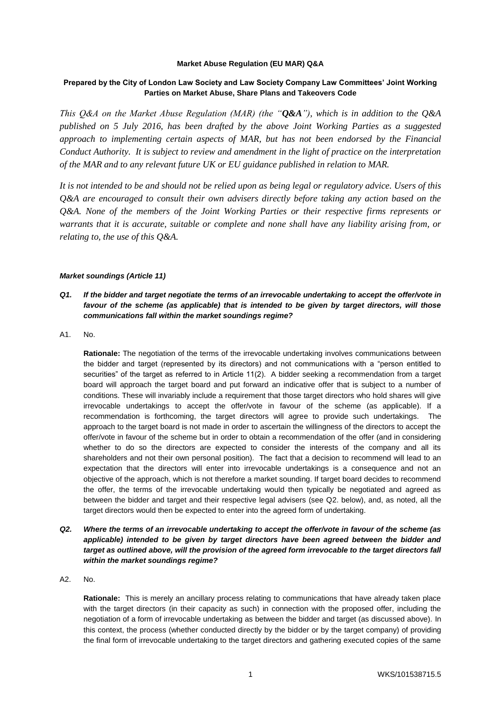#### **Market Abuse Regulation (EU MAR) Q&A**

# **Prepared by the City of London Law Society and Law Society Company Law Committees' Joint Working Parties on Market Abuse, Share Plans and Takeovers Code**

*This Q&A on the Market Abuse Regulation (MAR) (the "Q&A"), which is in addition to the Q&A published on 5 July 2016, has been drafted by the above Joint Working Parties as a suggested approach to implementing certain aspects of MAR, but has not been endorsed by the Financial Conduct Authority. It is subject to review and amendment in the light of practice on the interpretation of the MAR and to any relevant future UK or EU guidance published in relation to MAR.*

*It is not intended to be and should not be relied upon as being legal or regulatory advice. Users of this Q&A are encouraged to consult their own advisers directly before taking any action based on the Q&A. None of the members of the Joint Working Parties or their respective firms represents or warrants that it is accurate, suitable or complete and none shall have any liability arising from, or relating to, the use of this Q&A.*

### *Market soundings (Article 11)*

- *Q1. If the bidder and target negotiate the terms of an irrevocable undertaking to accept the offer/vote in favour of the scheme (as applicable) that is intended to be given by target directors, will those communications fall within the market soundings regime?*
- A1. No.

**Rationale:** The negotiation of the terms of the irrevocable undertaking involves communications between the bidder and target (represented by its directors) and not communications with a "person entitled to securities" of the target as referred to in Article 11(2). A bidder seeking a recommendation from a target board will approach the target board and put forward an indicative offer that is subject to a number of conditions. These will invariably include a requirement that those target directors who hold shares will give irrevocable undertakings to accept the offer/vote in favour of the scheme (as applicable). If a recommendation is forthcoming, the target directors will agree to provide such undertakings. The approach to the target board is not made in order to ascertain the willingness of the directors to accept the offer/vote in favour of the scheme but in order to obtain a recommendation of the offer (and in considering whether to do so the directors are expected to consider the interests of the company and all its shareholders and not their own personal position). The fact that a decision to recommend will lead to an expectation that the directors will enter into irrevocable undertakings is a consequence and not an objective of the approach, which is not therefore a market sounding. If target board decides to recommend the offer, the terms of the irrevocable undertaking would then typically be negotiated and agreed as between the bidder and target and their respective legal advisers (see Q2. below), and, as noted, all the target directors would then be expected to enter into the agreed form of undertaking.

- *Q2. Where the terms of an irrevocable undertaking to accept the offer/vote in favour of the scheme (as*  applicable) intended to be given by target directors have been agreed between the bidder and *target as outlined above, will the provision of the agreed form irrevocable to the target directors fall within the market soundings regime?*
- A2. No.

**Rationale:** This is merely an ancillary process relating to communications that have already taken place with the target directors (in their capacity as such) in connection with the proposed offer, including the negotiation of a form of irrevocable undertaking as between the bidder and target (as discussed above). In this context, the process (whether conducted directly by the bidder or by the target company) of providing the final form of irrevocable undertaking to the target directors and gathering executed copies of the same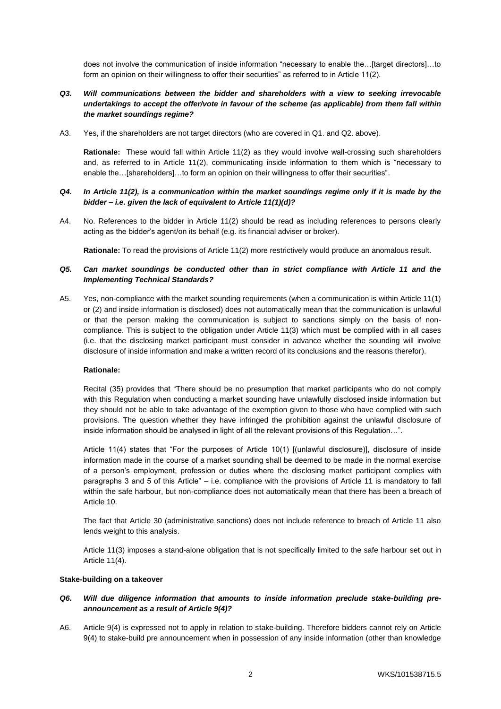does not involve the communication of inside information "necessary to enable the…[target directors]…to form an opinion on their willingness to offer their securities" as referred to in Article 11(2).

## *Q3. Will communications between the bidder and shareholders with a view to seeking irrevocable undertakings to accept the offer/vote in favour of the scheme (as applicable) from them fall within the market soundings regime?*

A3. Yes, if the shareholders are not target directors (who are covered in Q1. and Q2. above).

**Rationale:** These would fall within Article 11(2) as they would involve wall-crossing such shareholders and, as referred to in Article 11(2), communicating inside information to them which is "necessary to enable the…[shareholders]…to form an opinion on their willingness to offer their securities".

### *Q4. In Article 11(2), is a communication within the market soundings regime only if it is made by the bidder – i.e. given the lack of equivalent to Article 11(1)(d)?*

A4. No. References to the bidder in Article 11(2) should be read as including references to persons clearly acting as the bidder's agent/on its behalf (e.g. its financial adviser or broker).

**Rationale:** To read the provisions of Article 11(2) more restrictively would produce an anomalous result.

### *Q5. Can market soundings be conducted other than in strict compliance with Article 11 and the Implementing Technical Standards?*

A5. Yes, non-compliance with the market sounding requirements (when a communication is within Article 11(1) or (2) and inside information is disclosed) does not automatically mean that the communication is unlawful or that the person making the communication is subject to sanctions simply on the basis of noncompliance. This is subject to the obligation under Article 11(3) which must be complied with in all cases (i.e. that the disclosing market participant must consider in advance whether the sounding will involve disclosure of inside information and make a written record of its conclusions and the reasons therefor).

#### **Rationale:**

Recital (35) provides that "There should be no presumption that market participants who do not comply with this Regulation when conducting a market sounding have unlawfully disclosed inside information but they should not be able to take advantage of the exemption given to those who have complied with such provisions. The question whether they have infringed the prohibition against the unlawful disclosure of inside information should be analysed in light of all the relevant provisions of this Regulation...".

Article 11(4) states that "For the purposes of Article 10(1) [(unlawful disclosure)], disclosure of inside information made in the course of a market sounding shall be deemed to be made in the normal exercise of a person's employment, profession or duties where the disclosing market participant complies with paragraphs 3 and 5 of this Article" – i.e. compliance with the provisions of Article 11 is mandatory to fall within the safe harbour, but non-compliance does not automatically mean that there has been a breach of Article 10.

The fact that Article 30 (administrative sanctions) does not include reference to breach of Article 11 also lends weight to this analysis.

Article 11(3) imposes a stand-alone obligation that is not specifically limited to the safe harbour set out in Article 11(4).

#### **Stake-building on a takeover**

### *Q6. Will due diligence information that amounts to inside information preclude stake-building preannouncement as a result of Article 9(4)?*

A6. Article 9(4) is expressed not to apply in relation to stake-building. Therefore bidders cannot rely on Article 9(4) to stake-build pre announcement when in possession of any inside information (other than knowledge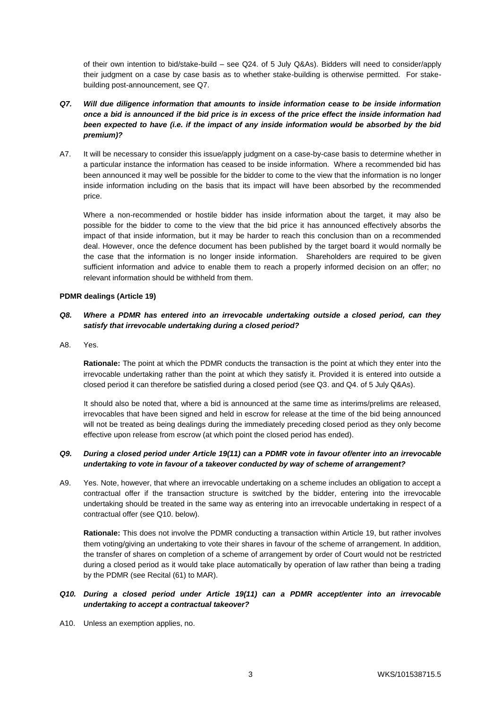of their own intention to bid/stake-build – see Q24. of 5 July Q&As). Bidders will need to consider/apply their judgment on a case by case basis as to whether stake-building is otherwise permitted. For stakebuilding post-announcement, see Q7.

- *Q7. Will due diligence information that amounts to inside information cease to be inside information once a bid is announced if the bid price is in excess of the price effect the inside information had been expected to have (i.e. if the impact of any inside information would be absorbed by the bid premium)?*
- A7. It will be necessary to consider this issue/apply judgment on a case-by-case basis to determine whether in a particular instance the information has ceased to be inside information. Where a recommended bid has been announced it may well be possible for the bidder to come to the view that the information is no longer inside information including on the basis that its impact will have been absorbed by the recommended price.

Where a non-recommended or hostile bidder has inside information about the target, it may also be possible for the bidder to come to the view that the bid price it has announced effectively absorbs the impact of that inside information, but it may be harder to reach this conclusion than on a recommended deal. However, once the defence document has been published by the target board it would normally be the case that the information is no longer inside information. Shareholders are required to be given sufficient information and advice to enable them to reach a properly informed decision on an offer; no relevant information should be withheld from them.

#### **PDMR dealings (Article 19)**

## *Q8. Where a PDMR has entered into an irrevocable undertaking outside a closed period, can they satisfy that irrevocable undertaking during a closed period?*

A8. Yes.

**Rationale:** The point at which the PDMR conducts the transaction is the point at which they enter into the irrevocable undertaking rather than the point at which they satisfy it. Provided it is entered into outside a closed period it can therefore be satisfied during a closed period (see Q3. and Q4. of 5 July Q&As).

It should also be noted that, where a bid is announced at the same time as interims/prelims are released, irrevocables that have been signed and held in escrow for release at the time of the bid being announced will not be treated as being dealings during the immediately preceding closed period as they only become effective upon release from escrow (at which point the closed period has ended).

### *Q9. During a closed period under Article 19(11) can a PDMR vote in favour of/enter into an irrevocable undertaking to vote in favour of a takeover conducted by way of scheme of arrangement?*

A9. Yes. Note, however, that where an irrevocable undertaking on a scheme includes an obligation to accept a contractual offer if the transaction structure is switched by the bidder, entering into the irrevocable undertaking should be treated in the same way as entering into an irrevocable undertaking in respect of a contractual offer (see Q10. below).

**Rationale:** This does not involve the PDMR conducting a transaction within Article 19, but rather involves them voting/giving an undertaking to vote their shares in favour of the scheme of arrangement. In addition, the transfer of shares on completion of a scheme of arrangement by order of Court would not be restricted during a closed period as it would take place automatically by operation of law rather than being a trading by the PDMR (see Recital (61) to MAR).

## *Q10. During a closed period under Article 19(11) can a PDMR accept/enter into an irrevocable undertaking to accept a contractual takeover?*

A10. Unless an exemption applies, no.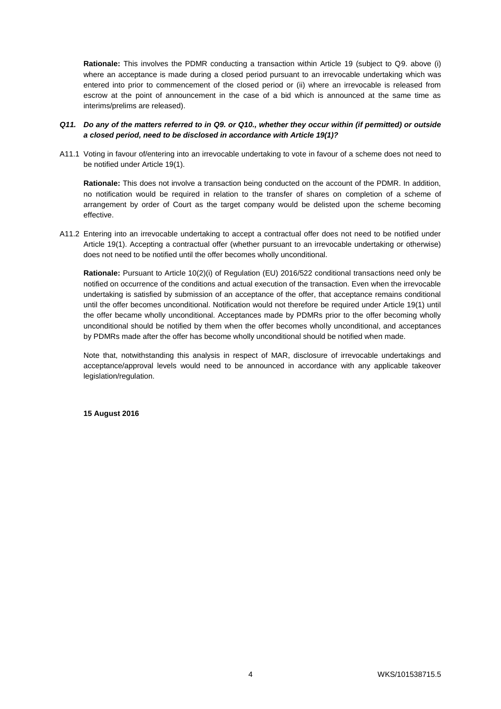**Rationale:** This involves the PDMR conducting a transaction within Article 19 (subject to Q9. above (i) where an acceptance is made during a closed period pursuant to an irrevocable undertaking which was entered into prior to commencement of the closed period or (ii) where an irrevocable is released from escrow at the point of announcement in the case of a bid which is announced at the same time as interims/prelims are released).

#### *Q11. Do any of the matters referred to in Q9. or Q10., whether they occur within (if permitted) or outside a closed period, need to be disclosed in accordance with Article 19(1)?*

A11.1 Voting in favour of/entering into an irrevocable undertaking to vote in favour of a scheme does not need to be notified under Article 19(1).

**Rationale:** This does not involve a transaction being conducted on the account of the PDMR. In addition, no notification would be required in relation to the transfer of shares on completion of a scheme of arrangement by order of Court as the target company would be delisted upon the scheme becoming effective.

A11.2 Entering into an irrevocable undertaking to accept a contractual offer does not need to be notified under Article 19(1). Accepting a contractual offer (whether pursuant to an irrevocable undertaking or otherwise) does not need to be notified until the offer becomes wholly unconditional.

**Rationale:** Pursuant to Article 10(2)(i) of Regulation (EU) 2016/522 conditional transactions need only be notified on occurrence of the conditions and actual execution of the transaction. Even when the irrevocable undertaking is satisfied by submission of an acceptance of the offer, that acceptance remains conditional until the offer becomes unconditional. Notification would not therefore be required under Article 19(1) until the offer became wholly unconditional. Acceptances made by PDMRs prior to the offer becoming wholly unconditional should be notified by them when the offer becomes wholly unconditional, and acceptances by PDMRs made after the offer has become wholly unconditional should be notified when made.

Note that, notwithstanding this analysis in respect of MAR, disclosure of irrevocable undertakings and acceptance/approval levels would need to be announced in accordance with any applicable takeover legislation/regulation.

**15 August 2016**